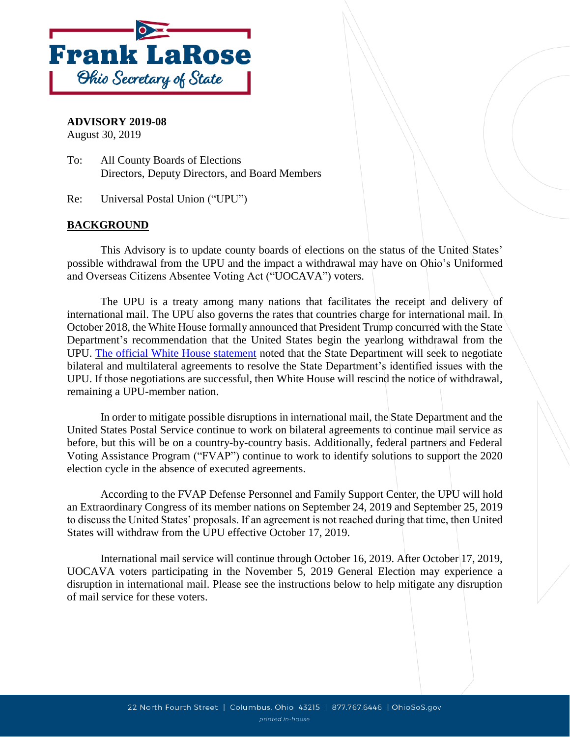

## **ADVISORY 2019-08**

August 30, 2019

To: All County Boards of Elections Directors, Deputy Directors, and Board Members

Re: Universal Postal Union ("UPU")

## **BACKGROUND**

This Advisory is to update county boards of elections on the status of the United States' possible withdrawal from the UPU and the impact a withdrawal may have on Ohio's Uniformed and Overseas Citizens Absentee Voting Act ("UOCAVA") voters.

The UPU is a treaty among many nations that facilitates the receipt and delivery of international mail. The UPU also governs the rates that countries charge for international mail. In October 2018, the White House formally announced that President Trump concurred with the State Department's recommendation that the United States begin the yearlong withdrawal from the UPU. [The official White House statement](https://www.whitehouse.gov/briefings-statements/statement-press-secretary-38/) noted that the State Department will seek to negotiate bilateral and multilateral agreements to resolve the State Department's identified issues with the UPU. If those negotiations are successful, then White House will rescind the notice of withdrawal, remaining a UPU-member nation.

In order to mitigate possible disruptions in international mail, the State Department and the United States Postal Service continue to work on bilateral agreements to continue mail service as before, but this will be on a country-by-country basis. Additionally, federal partners and Federal Voting Assistance Program ("FVAP") continue to work to identify solutions to support the 2020 election cycle in the absence of executed agreements.

According to the FVAP Defense Personnel and Family Support Center, the UPU will hold an Extraordinary Congress of its member nations on September 24, 2019 and September 25, 2019 to discuss the United States' proposals. If an agreement is not reached during that time, then United States will withdraw from the UPU effective October 17, 2019.

International mail service will continue through October 16, 2019. After October 17, 2019, UOCAVA voters participating in the November 5, 2019 General Election may experience a disruption in international mail. Please see the instructions below to help mitigate any disruption of mail service for these voters.